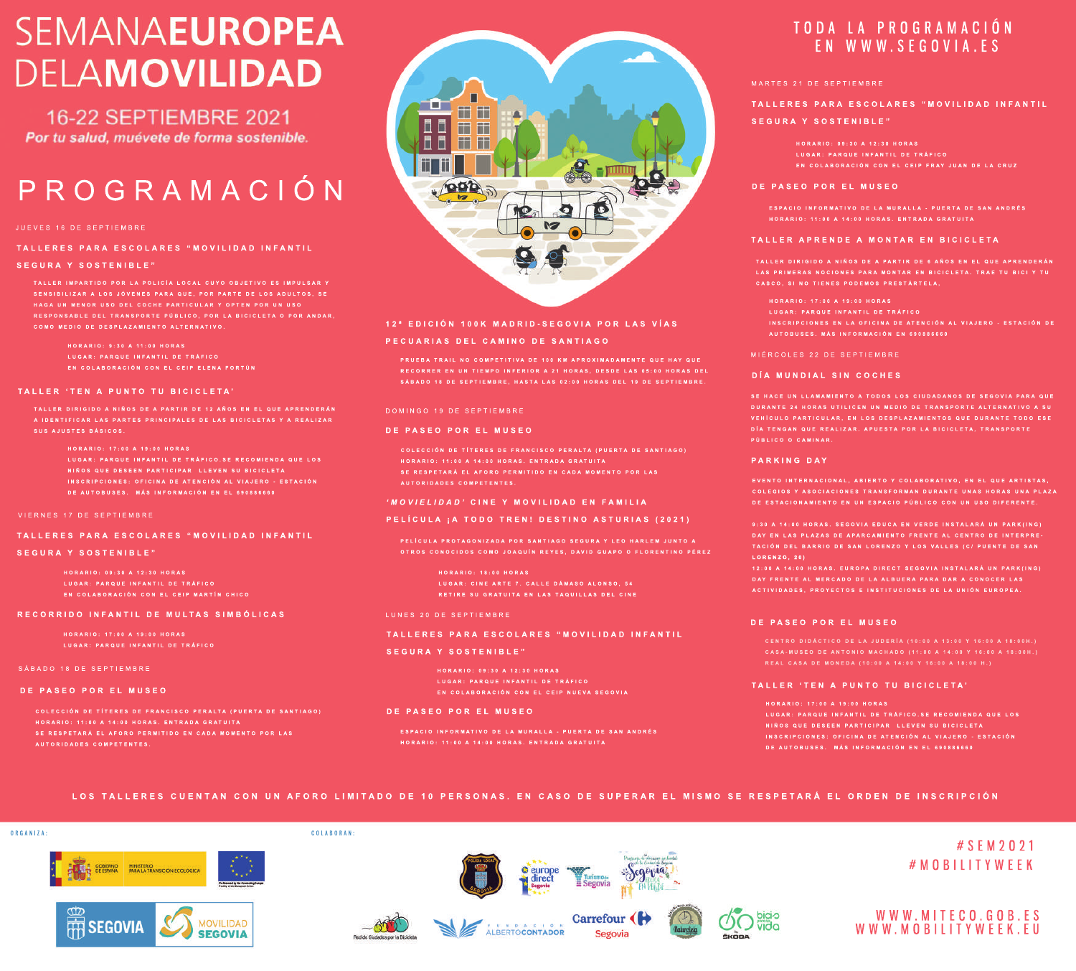# **SEMANAEUROPEA DELAMOVILIDAD**

**16-22 SEPTIEMBRE 2021** Por tu salud, muévete de forma sostenible.

# PROGRAMACIÓN

# **TALLERES PARA ESCOLARES "MOVILIDAD INFANTIL**

# **SEGURA Y SOSTENIBLE"**

**TALLER IMPARTIDO POR LA POLICÍA LOCAL CUYO OBJETIVO ES IMPULSAR Y COMO MEDIO DE DESPLAZAMIENTO ALTERNATIVO.**

- **EN COLABORACIÓN CON EL CEIP ELENA FORTÚN**
- 

# **TALLER 'TEN A PUNTO TU BICICLETA'**

**TALLER DIRIGIDO A NIÑOS DE A PARTIR DE 12 AÑOS EN EL QUE APRENDERÁN A IDENTIFICAR LAS PARTES PRINCIPALES DE LAS BICICLETAS Y A REALIZAR SUS AJUSTES BÁSICOS.**

- 
- **LUGAR: PARQUE INFANTIL DE TRÁFICO.SE RECOMIENDA QUE LOS NIÑOS QUE DESEEN PARTICIPAR LLEVEN SU BICICLETA DE AUTOBUSES. MÁS INFORMACIÓN EN EL 690886660**
- 

# **TALLERES PARA ESCOLARES "MOVILIDAD INFANTIL**

# **SEGURA Y SOSTENIBLE"**

**LUGAR: PARQUE INFANTIL DE TRÁFICO EN COLABORACIÓN CON EL CEIP MARTÍN CHICO**

# **RECORRIDO INFANTIL DE MULTAS SIMBÓLICAS**

**HORARIO: 17:00 A 19:00 HORAS LUGAR: PARQUE INFANTIL DE TRÁFICO**

# SÁBADO 18 DE SEPTIEMBRE

# **DE PASEO POR EL MUSEO**

**AUTORIDADES COMPETENTES.**

# - 1 **THE RE A**  $\Box$ m m 面面面面 Ш

# **12ª EDICIÓN 100K MADRID-SEGOVIA POR LAS VÍAS**

# **PECUARIAS DEL CAMINO DE SANTIAGO**

**PRUEBA TRAIL NO COMPETITIVA DE 100 KM APROXIMADAMENTE QUE HAY QUE**

## DOMINGO 19 DE SEPTIEMBRE

## **DE PASEO POR EL MUSEO**

- 
- **SE RESPETARÁ EL AFORO PERMITIDO EN CADA MOMENTO POR LAS AUTORIDADES COMPETENTES.**

# *'MOVIELIDAD'***CINE Y MOVILIDAD EN FAMILIA**

# **PELÍCULA ¡A TODO TREN! DESTINO ASTURIAS (2021)**

- **PELÍCULA PROTAGONIZADA POR SANTIAGO SEGURA Y LEO HARLEM JUNTO A**
	- **LUGAR: CINE ARTE 7. CALLE DÁMASO ALONSO, 54 RETIRE SU GRATUITA EN LAS TAQUILLAS DEL CINE**

### LUNES 20 DE SEPTIEMBRE

# **TALLERES PARA ESCOLARES "MOVILIDAD INFANTIL**

# **SEGURA Y SOSTENIBLE"**

**HORARIO: 09:30 A 12:30 HORAS**

### **DE PASEO POR EL MUSEO**

**ESPACIO INFORMATIVO DE LA MURALLA - PUERTA DE SAN ANDRÉS HORARIO: 11:00 A 14:00 HORAS. ENTRADA GRATUITA**

# TODA LA PROGRAMACIÓN EN WWW.SEGOVIA.ES

# **TALLERES PARA ESCOLARES "MOVILIDAD INFANTIL**

# **SEGURA Y SOSTENIBLE"**

**HORARIO: 09:30 A 12:30 HORAS LUGAR: PARQUE INFANTIL DE TRÁFICO**

## **DE PASEO POR EL MUSEO**

**ESPACIO INFORMATIVO DE LA MURALLA - PUERTA DE SAN ANDRÉS HORARIO: 11:00 A 14:00 HORAS. ENTRADA GRATUITA**

# **TALLER APRENDE A MONTAR EN BICICLETA**

- 
- **LUGAR: PARQUE INFANTIL DE TRÁFICO**
- **INSCRIPCIONES EN LA OFICINA DE ATENCIÓN AL VIAJERO - ESTACIÓN DE AUTOBUSES. MÁS INFORMACIÓN EN 690886660**

## MIÉRCOLES 22 DE SEPTIEMBRE

# **DÍA MUNDIAL SIN COCHES**

**SE HACE UN LLAMAMIENTO A TODOS LOS CIUDADANOS DE SEGOVIA PARA QUE PÚBLICO O CAMINAR.**

# **PARKING DAY**

**COLEGIOS Y ASOCIACIONES TRANSFORMAN DURANTE UNAS HORAS UNA PLAZA DE ESTACIONAMIENTO EN UN ESPACIO PÚBLICO CON UN USO DIFERENTE.**

**9:30 A 14:00 HORAS. SEGOVIA EDUCA EN VERDE INSTALARÁ UN PARK(ING) DAY EN LAS PLAZAS DE APARCAMIENTO FRENTE AL CENTRO DE INTERPRE-LORENZO, 20)**

**12:00 A 14:00 HORAS. EUROPA DIRECT SEGOVIA INSTALARÁ UN PARK(ING) ACTIVIDADES, PROYECTOS E INSTITUCIONES DE LA UNIÓN EUROPEA.**

# **DE PASEO POR EL MUSEO**

# **TALLER 'TEN A PUNTO TU BICICLETA'**

**HORARIO: 17:00 A 19:00 HORAS INSCRIPCIONES: OFICINA DE ATENCIÓN AL VIAJERO - ESTACIÓN DE AUTOBUSES. MÁS INFORMACIÓN EN EL 690886660**

LOS TALLERES CUENTAN CON UN AFORO LIMITADO DE 10 PERSONAS. EN CASO DE SUPERAR EL MISMO SE RESPETARÁ EL ORDEN DE INSCRIPCIÓN